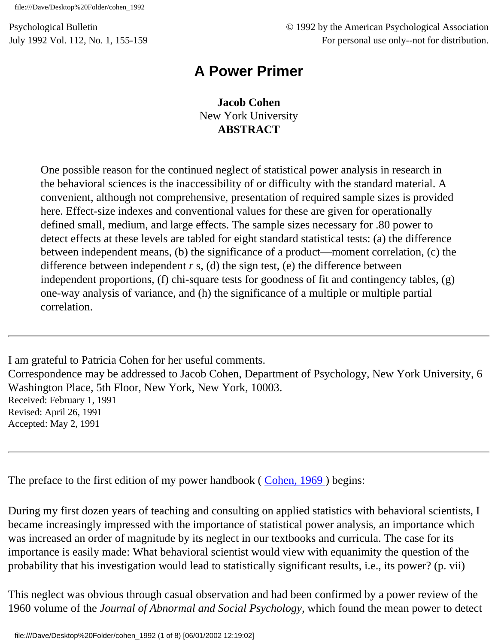file:///Dave/Desktop%20Folder/cohen\_1992

# **A Power Primer**

**Jacob Cohen** New York University **ABSTRACT**

One possible reason for the continued neglect of statistical power analysis in research in the behavioral sciences is the inaccessibility of or difficulty with the standard material. A convenient, although not comprehensive, presentation of required sample sizes is provided here. Effect-size indexes and conventional values for these are given for operationally defined small, medium, and large effects. The sample sizes necessary for .80 power to detect effects at these levels are tabled for eight standard statistical tests: (a) the difference between independent means, (b) the significance of a product—moment correlation, (c) the difference between independent  $r$  s, (d) the sign test, (e) the difference between independent proportions, (f) chi-square tests for goodness of fit and contingency tables, (g) one-way analysis of variance, and (h) the significance of a multiple or multiple partial correlation.

I am grateful to Patricia Cohen for her useful comments. Correspondence may be addressed to Jacob Cohen, Department of Psychology, New York University, 6 Washington Place, 5th Floor, New York, New York, 10003. Received: February 1, 1991 Revised: April 26, 1991 Accepted: May 2, 1991

The preface to the first edition of my power handbook (Cohen, 1969) begins:

During my first dozen years of teaching and consulting on applied statistics with behavioral scientists, I became increasingly impressed with the importance of statistical power analysis, an importance which was increased an order of magnitude by its neglect in our textbooks and curricula. The case for its importance is easily made: What behavioral scientist would view with equanimity the question of the probability that his investigation would lead to statistically significant results, i.e., its power? (p. vii)

This neglect was obvious through casual observation and had been confirmed by a power review of the 1960 volume of the *Journal of Abnormal and Social Psychology,* which found the mean power to detect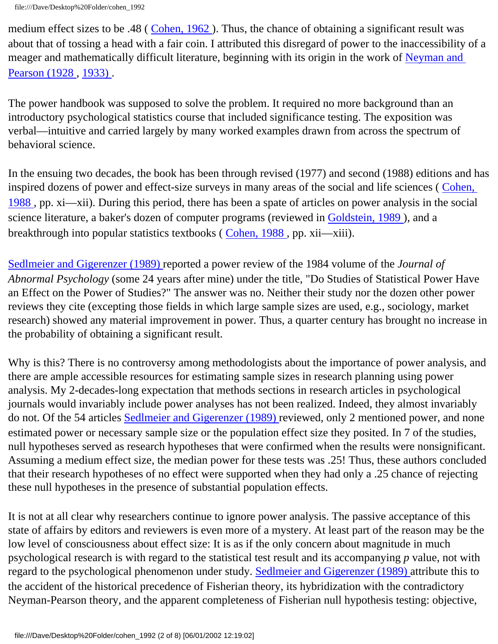medium effect sizes to be .48 ([Cohen, 1962](#page-6-1)). Thus, the chance of obtaining a significant result was about that of tossing a head with a fair coin. I attributed this disregard of power to the inaccessibility of a meager and mathematically difficult literature, beginning with its origin in the work of [Neyman and](#page-7-0)  [Pearson \(1928](#page-7-0), 1933).

The power handbook was supposed to solve the problem. It required no more background than an introductory psychological statistics course that included significance testing. The exposition was verbal—intuitive and carried largely by many worked examples drawn from across the spectrum of behavioral science.

In the ensuing two decades, the book has been through revised (1977) and second (1988) editions and has inspired dozens of power and effect-size surveys in many areas of the social and life sciences ( [Cohen,](#page-6-2)  [1988](#page-6-2) , pp. xi—xii). During this period, there has been a spate of articles on power analysis in the social science literature, a baker's dozen of computer programs (reviewed in Goldstein, 1989), and a breakthrough into popular statistics textbooks ( [Cohen, 1988](#page-6-2) , pp. xii—xiii).

[Sedlmeier and Gigerenzer \(1989\)](#page-7-3) reported a power review of the 1984 volume of the *Journal of Abnormal Psychology* (some 24 years after mine) under the title, "Do Studies of Statistical Power Have an Effect on the Power of Studies?" The answer was no. Neither their study nor the dozen other power reviews they cite (excepting those fields in which large sample sizes are used, e.g., sociology, market research) showed any material improvement in power. Thus, a quarter century has brought no increase in the probability of obtaining a significant result.

Why is this? There is no controversy among methodologists about the importance of power analysis, and there are ample accessible resources for estimating sample sizes in research planning using power analysis. My 2-decades-long expectation that methods sections in research articles in psychological journals would invariably include power analyses has not been realized. Indeed, they almost invariably do not. Of the 54 articles [Sedlmeier and Gigerenzer \(1989\)](#page-7-3) reviewed, only 2 mentioned power, and none estimated power or necessary sample size or the population effect size they posited. In 7 of the studies, null hypotheses served as research hypotheses that were confirmed when the results were nonsignificant. Assuming a medium effect size, the median power for these tests was .25! Thus, these authors concluded that their research hypotheses of no effect were supported when they had only a .25 chance of rejecting these null hypotheses in the presence of substantial population effects.

It is not at all clear why researchers continue to ignore power analysis. The passive acceptance of this state of affairs by editors and reviewers is even more of a mystery. At least part of the reason may be the low level of consciousness about effect size: It is as if the only concern about magnitude in much psychological research is with regard to the statistical test result and its accompanying *p* value, not with regard to the psychological phenomenon under study. [Sedlmeier and Gigerenzer \(1989\)](#page-7-3) attribute this to the accident of the historical precedence of Fisherian theory, its hybridization with the contradictory Neyman-Pearson theory, and the apparent completeness of Fisherian null hypothesis testing: objective,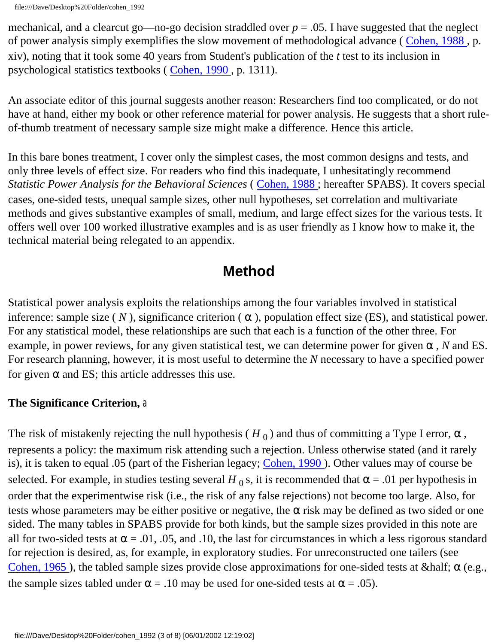file:///Dave/Desktop%20Folder/cohen\_1992

mechanical, and a clearcut go—no-go decision straddled over  $p = 0.05$ . I have suggested that the neglect of power analysis simply exemplifies the slow movement of methodological advance (Cohen, 1988, p. xiv), noting that it took some 40 years from Student's publication of the *t* test to its inclusion in psychological statistics textbooks (Cohen, 1990, p. 1311).

An associate editor of this journal suggests another reason: Researchers find too complicated, or do not have at hand, either my book or other reference material for power analysis. He suggests that a short ruleof-thumb treatment of necessary sample size might make a difference. Hence this article.

In this bare bones treatment, I cover only the simplest cases, the most common designs and tests, and only three levels of effect size. For readers who find this inadequate, I unhesitatingly recommend *Statistic Power Analysis for the Behavioral Sciences* ([Cohen, 1988](#page-6-2); hereafter SPABS). It covers special cases, one-sided tests, unequal sample sizes, other null hypotheses, set correlation and multivariate methods and gives substantive examples of small, medium, and large effect sizes for the various tests. It offers well over 100 worked illustrative examples and is as user friendly as I know how to make it, the technical material being relegated to an appendix.

### **Method**

Statistical power analysis exploits the relationships among the four variables involved in statistical inference: sample size  $(N)$ , significance criterion  $(\alpha)$ , population effect size (ES), and statistical power. For any statistical model, these relationships are such that each is a function of the other three. For example, in power reviews, for any given statistical test, we can determine power for given  $\alpha$ , *N* and ES. For research planning, however, it is most useful to determine the *N* necessary to have a specified power for given  $\alpha$  and ES; this article addresses this use.

#### **The Significance Criterion,** a

The risk of mistakenly rejecting the null hypothesis ( $H_0$ ) and thus of committing a Type I error,  $\alpha$ , represents a policy: the maximum risk attending such a rejection. Unless otherwise stated (and it rarely is), it is taken to equal .05 (part of the Fisherian legacy; [Cohen, 1990](#page-7-4) ). Other values may of course be selected. For example, in studies testing several  $H_0$  s, it is recommended that  $\alpha = .01$  per hypothesis in order that the experimentwise risk (i.e., the risk of any false rejections) not become too large. Also, for tests whose parameters may be either positive or negative, the  $\alpha$  risk may be defined as two sided or one sided. The many tables in SPABS provide for both kinds, but the sample sizes provided in this note are all for two-sided tests at  $\alpha$  = .01, .05, and .10, the last for circumstances in which a less rigorous standard for rejection is desired, as, for example, in exploratory studies. For unreconstructed one tailers (see Cohen, 1965), the tabled sample sizes provide close approximations for one-sided tests at ½  $\alpha$  (e.g., the sample sizes tabled under  $\alpha = .10$  may be used for one-sided tests at  $\alpha = .05$ ).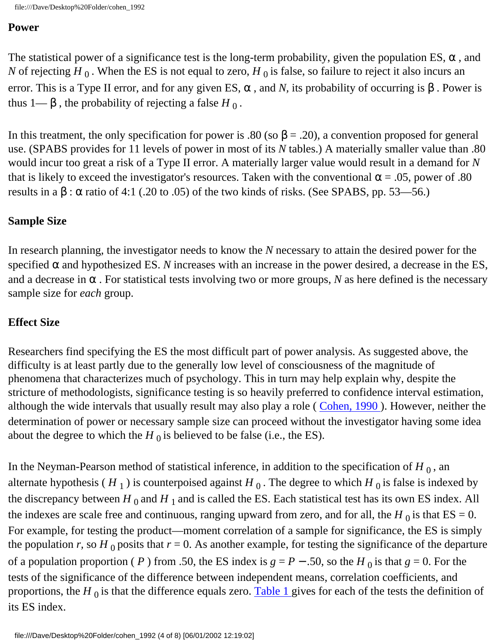file:///Dave/Desktop%20Folder/cohen\_1992

#### **Power**

The statistical power of a significance test is the long-term probability, given the population ES,  $\alpha$ , and *N* of rejecting *H*<sub>0</sub>. When the ES is not equal to zero, *H*<sub>0</sub> is false, so failure to reject it also incurs an error. This is a Type II error, and for any given ES, α , and *N,* its probability of occurring is β . Power is thus  $1-\beta$ , the probability of rejecting a false *H*<sub>0</sub>.

In this treatment, the only specification for power is .80 (so  $\beta$  = .20), a convention proposed for general use. (SPABS provides for 11 levels of power in most of its *N* tables.) A materially smaller value than .80 would incur too great a risk of a Type II error. A materially larger value would result in a demand for *N*  that is likely to exceed the investigator's resources. Taken with the conventional  $\alpha = .05$ , power of .80 results in a  $β$  : α ratio of 4:1 (.20 to .05) of the two kinds of risks. (See SPABS, pp. 53—56.)

#### **Sample Size**

In research planning, the investigator needs to know the *N* necessary to attain the desired power for the specified  $\alpha$  and hypothesized ES. *N* increases with an increase in the power desired, a decrease in the ES, and a decrease in  $\alpha$ . For statistical tests involving two or more groups, N as here defined is the necessary sample size for *each* group.

#### **Effect Size**

Researchers find specifying the ES the most difficult part of power analysis. As suggested above, the difficulty is at least partly due to the generally low level of consciousness of the magnitude of phenomena that characterizes much of psychology. This in turn may help explain why, despite the stricture of methodologists, significance testing is so heavily preferred to confidence interval estimation, although the wide intervals that usually result may also play a role (Cohen, 1990). However, neither the determination of power or necessary sample size can proceed without the investigator having some idea about the degree to which the  $H_0$  is believed to be false (i.e., the ES).

In the Neyman-Pearson method of statistical inference, in addition to the specification of  $H_0$ , an alternate hypothesis ( $H_1$ ) is counterpoised against  $H_0$ . The degree to which  $H_0$  is false is indexed by the discrepancy between  $H_0$  and  $H_1$  and is called the ES. Each statistical test has its own ES index. All the indexes are scale free and continuous, ranging upward from zero, and for all, the  $H_0$  is that  $ES = 0$ . For example, for testing the product—moment correlation of a sample for significance, the ES is simply the population *r*, so *H*<sub>0</sub> posits that  $r = 0$ . As another example, for testing the significance of the departure of a population proportion ( $P$ ) from .50, the ES index is  $g = P - 0.50$ , so the  $H_0$  is that  $g = 0$ . For the tests of the significance of the difference between independent means, correlation coefficients, and proportions, the  $H_0$  is that the difference equals zero. [Table 1](#page-7-5) gives for each of the tests the definition of its ES index.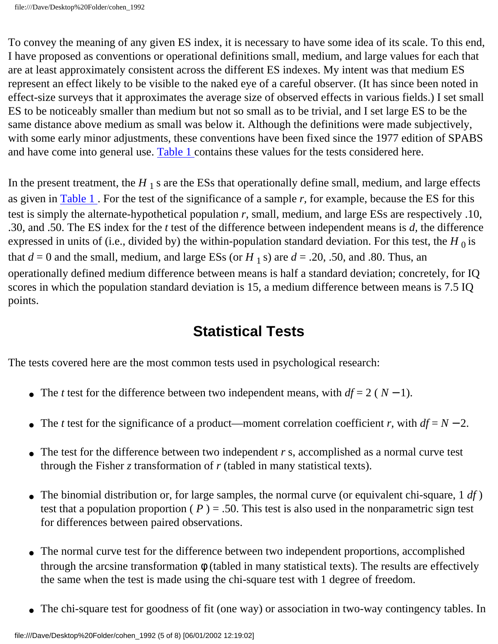To convey the meaning of any given ES index, it is necessary to have some idea of its scale. To this end, I have proposed as conventions or operational definitions small, medium, and large values for each that are at least approximately consistent across the different ES indexes. My intent was that medium ES represent an effect likely to be visible to the naked eye of a careful observer. (It has since been noted in effect-size surveys that it approximates the average size of observed effects in various fields.) I set small ES to be noticeably smaller than medium but not so small as to be trivial, and I set large ES to be the same distance above medium as small was below it. Although the definitions were made subjectively, with some early minor adjustments, these conventions have been fixed since the 1977 edition of SPABS and have come into general use. [Table 1](#page-7-5) contains these values for the tests considered here.

In the present treatment, the  $H_1$  s are the ESs that operationally define small, medium, and large effects as given in [Table 1](#page-7-5) . For the test of the significance of a sample *r,* for example, because the ES for this test is simply the alternate-hypothetical population *r,* small, medium, and large ESs are respectively .10, .30, and .50. The ES index for the *t* test of the difference between independent means is *d,* the difference expressed in units of (i.e., divided by) the within-population standard deviation. For this test, the  $H_0$  is that  $d = 0$  and the small, medium, and large ESs (or  $H_1$  s) are  $d = .20, .50,$  and .80. Thus, an operationally defined medium difference between means is half a standard deviation; concretely, for IQ scores in which the population standard deviation is 15, a medium difference between means is 7.5 IQ points.

# **Statistical Tests**

The tests covered here are the most common tests used in psychological research:

- The *t* test for the difference between two independent means, with  $df = 2 (N 1)$ .
- The *t* test for the significance of a product—moment correlation coefficient *r*, with  $df = N 2$ .
- The test for the difference between two independent *r s*, accomplished as a normal curve test through the Fisher *z* transformation of *r* (tabled in many statistical texts).
- The binomial distribution or, for large samples, the normal curve (or equivalent chi-square,  $1 \, df$ ) test that a population proportion  $(P) = .50$ . This test is also used in the nonparametric sign test for differences between paired observations.
- The normal curve test for the difference between two independent proportions, accomplished through the arcsine transformation  $\phi$  (tabled in many statistical texts). The results are effectively the same when the test is made using the chi-square test with 1 degree of freedom.
- The chi-square test for goodness of fit (one way) or association in two-way contingency tables. In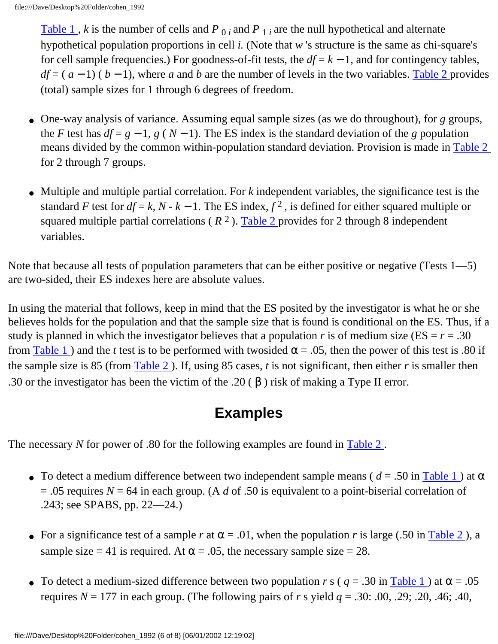[Table 1](#page-7-5), *k* is the number of cells and  $P_{0i}$  and  $P_{1i}$  are the null hypothetical and alternate hypothetical population proportions in cell *i.* (Note that *w* 's structure is the same as chi-square's for cell sample frequencies.) For goodness-of-fit tests, the  $df = k - 1$ , and for contingency tables, *df* = ( $a$  − 1) ( $b$  − 1), where  $a$  and  $b$  are the number of levels in the two variables. [Table 2](#page-7-6) provides (total) sample sizes for 1 through 6 degrees of freedom.

- One-way analysis of variance. Assuming equal sample sizes (as we do throughout), for *g* groups, the *F* test has  $df = g - 1$ ,  $g (N - 1)$ . The ES index is the standard deviation of the *g* population means divided by the common within-population standard deviation. Provision is made in [Table 2](#page-7-6)  for 2 through 7 groups.
- Multiple and multiple partial correlation. For *k* independent variables, the significance test is the standard *F* test for  $df = k$ ,  $N - k - 1$ . The ES index,  $f^2$ , is defined for either squared multiple or squared multiple partial correlations ( $R<sup>2</sup>$ ). [Table 2](#page-7-6) provides for 2 through 8 independent variables.

Note that because all tests of population parameters that can be either positive or negative (Tests 1—5) are two-sided, their ES indexes here are absolute values.

In using the material that follows, keep in mind that the ES posited by the investigator is what he or she believes holds for the population and that the sample size that is found is conditional on the ES. Thus, if a study is planned in which the investigator believes that a population *r* is of medium size ( $ES = r = .30$ ) from  $Table 1$ ) and the *t* test is to be performed with twosided  $\alpha = .05$ , then the power of this test is .80 if the sample size is 85 (from [Table 2](#page-7-6) ). If, using 85 cases, *t* is not significant, then either *r* is smaller then .30 or the investigator has been the victim of the .20 ( $\beta$ ) risk of making a Type II error.

### **Examples**

The necessary *N* for power of .80 for the following examples are found in Table 2.

- To detect a medium difference between two independent sample means ( $d = .50$  in [Table 1](#page-7-5)) at  $\alpha$ = .05 requires *N* = 64 in each group. (A *d* of .50 is equivalent to a point-biserial correlation of .243; see SPABS, pp. 22—24.)
- For a significance test of a sample *r* at  $\alpha = .01$ , when the population *r* is large (.50 in [Table 2](#page-7-6)), a sample size = 41 is required. At  $\alpha$  = .05, the necessary sample size = 28.
- To detect a medium-sized difference between two population *r* s ( $q = .30$  in Table 1) at  $\alpha = .05$ requires  $N = 177$  in each group. (The following pairs of *r* s yield  $q = .30$ : .00, .29; .20, .46; .40,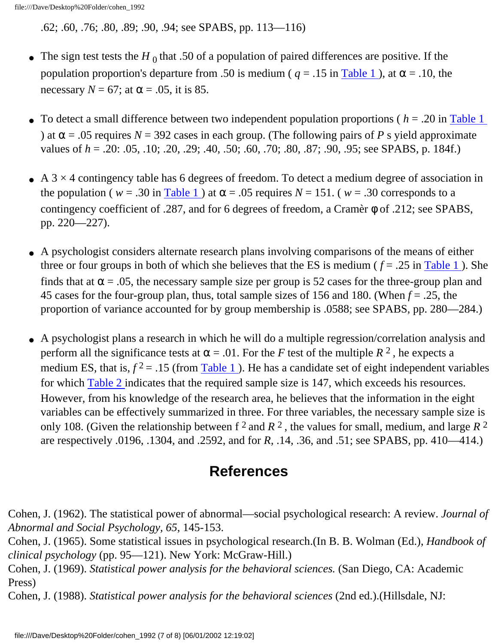.62; .60, .76; .80, .89; .90, .94; see SPABS, pp. 113—116)

- The sign test tests the  $H_0$  that .50 of a population of paired differences are positive. If the population proportion's departure from .50 is medium ( $q = .15$  in [Table 1](#page-7-5)), at  $\alpha = .10$ , the necessary  $N = 67$ ; at  $\alpha = .05$ , it is 85.
- To detect a small difference between two independent population proportions ( $h = .20$  in Table 1) ) at  $\alpha$  = .05 requires *N* = 392 cases in each group. (The following pairs of *P* s yield approximate values of *h* = .20: .05, .10; .20, .29; .40, .50; .60, .70; .80, .87; .90, .95; see SPABS, p. 184f.)
- $\bullet$  A 3  $\times$  4 contingency table has 6 degrees of freedom. To detect a medium degree of association in the population ( $w = .30$  in [Table 1](#page-7-5)) at  $\alpha = .05$  requires  $N = 151$ . ( $w = .30$  corresponds to a contingency coefficient of .287, and for 6 degrees of freedom, a Cramèr φ of .212; see SPABS, pp. 220—227).
- A psychologist considers alternate research plans involving comparisons of the means of either three or four groups in both of which she believes that the ES is medium ( $f = .25$  in [Table 1](#page-7-5)). She finds that at  $\alpha = .05$ , the necessary sample size per group is 52 cases for the three-group plan and 45 cases for the four-group plan, thus, total sample sizes of 156 and 180. (When *f* = .25, the proportion of variance accounted for by group membership is .0588; see SPABS, pp. 280—284.)
- A psychologist plans a research in which he will do a multiple regression/correlation analysis and perform all the significance tests at  $\alpha = .01$ . For the *F* test of the multiple *R*<sup>2</sup>, he expects a medium ES, that is,  $f^2 = .15$  (from Table 1). He has a candidate set of eight independent variables for which [Table 2](#page-7-6) indicates that the required sample size is 147, which exceeds his resources. However, from his knowledge of the research area, he believes that the information in the eight variables can be effectively summarized in three. For three variables, the necessary sample size is only 108. (Given the relationship between f 2 and *R* 2 , the values for small, medium, and large *R* 2 are respectively .0196, .1304, and .2592, and for *R,* .14, .36, and .51; see SPABS, pp. 410—414.)

### **References**

<span id="page-6-1"></span>Cohen, J. (1962). The statistical power of abnormal—social psychological research: A review. *Journal of Abnormal and Social Psychology, 65*, 145-153.

<span id="page-6-3"></span>Cohen, J. (1965). Some statistical issues in psychological research.(In B. B. Wolman (Ed.), *Handbook of clinical psychology* (pp. 95—121). New York: McGraw-Hill.)

<span id="page-6-0"></span>Cohen, J. (1969). *Statistical power analysis for the behavioral sciences.* (San Diego, CA: Academic Press)

<span id="page-6-2"></span>Cohen, J. (1988). *Statistical power analysis for the behavioral sciences* (2nd ed.).(Hillsdale, NJ: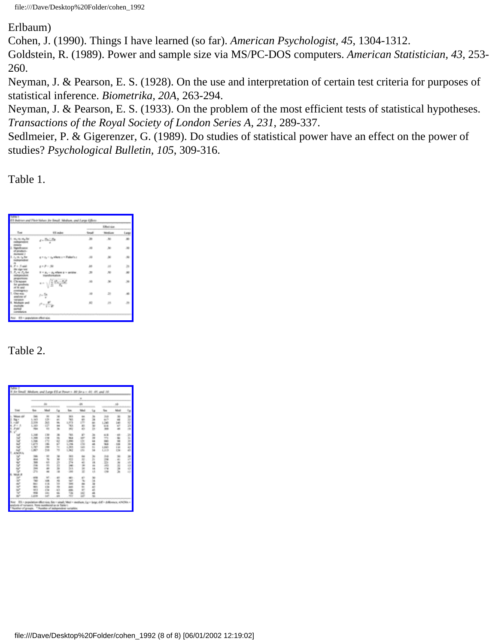Erlbaum)

<span id="page-7-4"></span>Cohen, J. (1990). Things I have learned (so far). *American Psychologist, 45*, 1304-1312.

<span id="page-7-2"></span>Goldstein, R. (1989). Power and sample size via MS/PC-DOS computers. *American Statistician, 43*, 253- 260.

<span id="page-7-0"></span>Neyman, J. & Pearson, E. S. (1928). On the use and interpretation of certain test criteria for purposes of statistical inference. *Biometrika, 20A*, 263-294.

<span id="page-7-1"></span>Neyman, J. & Pearson, E. S. (1933). On the problem of the most efficient tests of statistical hypotheses. *Transactions of the Royal Society of London Series A, 231*, 289-337.

Sedlmeier, P. & Gigerenzer, G. (1989). Do studies of statistical power have an effect on the power of studies? *Psychological Bulletin, 105*, 309-316.

<span id="page-7-5"></span><span id="page-7-3"></span>Table 1.

|                  |                                                                                                | Effect size .  |                          |            |  |  |
|------------------|------------------------------------------------------------------------------------------------|----------------|--------------------------|------------|--|--|
| T <sub>ext</sub> | <b>11 mins</b>                                                                                 | - South        | Motion                   | Lage       |  |  |
| ma lin           | والتكارم<br>u                                                                                  | ×              | $\mathcal{M}$            | m          |  |  |
|                  | ×                                                                                              | $-10-1$        | $\mathcal{L}$            | м          |  |  |
| 2.5, 0.5         | an ay nayabee an Robe's a                                                                      | ٠              | $\overline{a}$           | m          |  |  |
|                  | まいきの 海外                                                                                        | m              | 16                       | ti<br>M    |  |  |
| $-0.01$          | 1 By - By Milens & 11 percent<br><b>Excellent advertising</b>                                  | s              | $\overline{\mathcal{M}}$ |            |  |  |
|                  | $\sim \sqrt{\frac{1}{\alpha}} \frac{\partial \sqrt{-\Delta \mathcal{E}}}{\partial \mathbf{r}}$ | idi.           | $\overline{\phantom{a}}$ | M          |  |  |
|                  | 仙勢                                                                                             | 39             | 28                       | a,         |  |  |
|                  | والبرداء                                                                                       | $\overline{a}$ | 18.                      | $_{\rm H}$ |  |  |

<span id="page-7-6"></span>Table 2.

|           | so.           |                |              | an.             |               |     | $\mathbf{a}$   |                |                          |
|-----------|---------------|----------------|--------------|-----------------|---------------|-----|----------------|----------------|--------------------------|
| Towi      | <b>Sec</b>    | . Most         | $E_{\rm H}$  | .5 <sub>m</sub> | <b>Mad</b>    | u.  | No.            | Mod            | Ea                       |
| Miss of   | tan.          | $+1$           | $\equiv$     | <b>INCH.</b>    | 54            |     | 3.0            | $\overline{M}$ | $\overline{\phantom{a}}$ |
| ta r      | $L$ and       | $(39 -$        | a.           | ta)             | ii.           | Ğ   | ÷              | ü              | m                        |
| 'nШ       | 5,356         | 263            | ÷            | 1,873           | <b>UTP</b>    | u   | 1,348          | 148            |                          |
| $-1$      | 1,005         | $-127$         |              | 743             | $\mathbf{H}$  | w   |                | $\leftarrow$   | 5                        |
| 7a        | <b>Side</b>   | 41             | t            | <b>MIT</b>      | $\frac{1}{2}$ | is- | u              | a              | ä                        |
| ÷<br>×    |               |                |              | 77              | ×             |     |                |                |                          |
| ш         | 1,368         | (36            |              | TES.            | v             | 3m  | $-11$          | $-100$         | 26                       |
|           | $-1,366$      | $-134$         | ×            | 麠               | m             | Ħ   | T5             | - 66           | ×                        |
| Ă         | 1.546         | $-173$         | ÷            |                 |               | 44  | m              | w              | m                        |
| ü         | $-1.479$      | isi            | ü            | 1,164           | ż             | ä   | <b>TRA</b>     | $-100$         | m                        |
| tú        | CM3           | im             | $\mathbb{R}$ | 1,269           | 146           | E   | Lifeth         | $i = i$        | w                        |
| ü         | $-1307$       | $-214$         | w            | 1,342           | 184           | 14  | <b>Cirilli</b> | 154            | 45                       |
| ANCINA    |               |                |              | $\sim$          |               |     |                |                |                          |
|           | <b>ist</b>    | $-164$         | ×            | <b>Hill</b>     | ta.           | ls  | 3th            |                |                          |
|           | m             | 3ú             | ü            | $-101$          | ю.            | Б   | 34             | z              | 5                        |
|           | E             | $-41$          | ь            | $-174$          | a.            | m   | 128            | ×              | in                       |
|           |               | $\overline{ }$ |              | ist.            | $\equiv$      | m   |                | o              | 13                       |
|           | in            | ÷              | Ė            | 244             |               | ts. | 霓              | ×              | a                        |
|           | $-174$        | 44             | ٠            | $-184$          | ă             | ü   | ing.           | s              | ÷                        |
| 的复数医的名词复数 |               | ٠              |              |                 |               |     |                |                |                          |
|           | $-208$        | 11.            | $-40$        | $-4411 -$       | t             | u   |                |                |                          |
|           | w             | $-100$         |              | w               |               | ы   |                |                |                          |
|           | bk)           | <b>Fill</b>    |              | <b>Idea</b>     | $^{16}$       | u   |                |                |                          |
|           |               | 134            |              | 143             | bi            | e   |                |                |                          |
|           | $-211$        | $-174$         | $-10$        | 484             | ÷             | ü   |                |                |                          |
| Ę         | $\frac{1}{2}$ | 181            | ÷            | $-100$          | ŵ             | a   |                |                |                          |
| w         | 1.476         | $-147$         | site         | 193             | ü             | ü   |                |                |                          |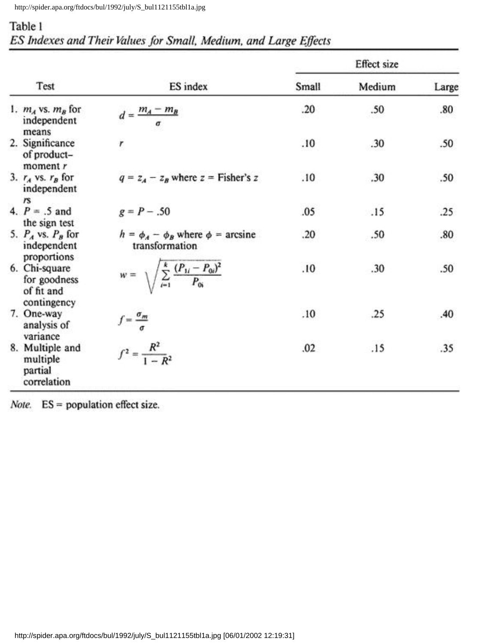#### Table 1

## ES Indexes and Their Values for Small, Medium, and Large Effects

|                                                            |                                                                | <b>Effect</b> size |        |       |  |  |
|------------------------------------------------------------|----------------------------------------------------------------|--------------------|--------|-------|--|--|
| Test                                                       | ES index                                                       | Small              | Medium | Large |  |  |
| 1. $m_A$ vs. $m_B$ for<br>independent<br>means             | $d = \frac{m_A - m_B}{\sigma}$                                 | .20                | .50    | .80   |  |  |
| 2. Significance<br>of product-<br>moment $r$               | r                                                              | .10                | .30    | .50   |  |  |
| 3. $r_A$ vs. $r_B$ for<br>independent<br>rs                | $q = z_A - z_B$ where $z =$ Fisher's z                         | .10                | .30    | .50   |  |  |
| 4. $P = .5$ and<br>the sign test                           | $g = P - .50$                                                  | .05                | .15    | .25   |  |  |
| 5. $P_A$ vs. $P_B$ for<br>independent<br>proportions       | $h = \phi_A - \phi_B$ where $\phi =$ arcsine<br>transformation | .20                | .50    | .80   |  |  |
| 6. Chi-square<br>for goodness<br>of fit and<br>contingency | $w = \sqrt{\sum_{i=1}^{k} \frac{(P_{1i} - P_{0i})^2}{P_{0i}}}$ | .10                | .30    | .50   |  |  |
| 7. One-way<br>analysis of<br>variance                      | $f = \frac{\sigma_m}{\sigma}$                                  | .10                | .25    | .40   |  |  |
| 8. Multiple and<br>multiple<br>partial<br>correlation      | $f^2 = \frac{R^2}{1 - R^2}$                                    | .02                | .15    | .35   |  |  |

 $Note.$   $ES = population effect size.$